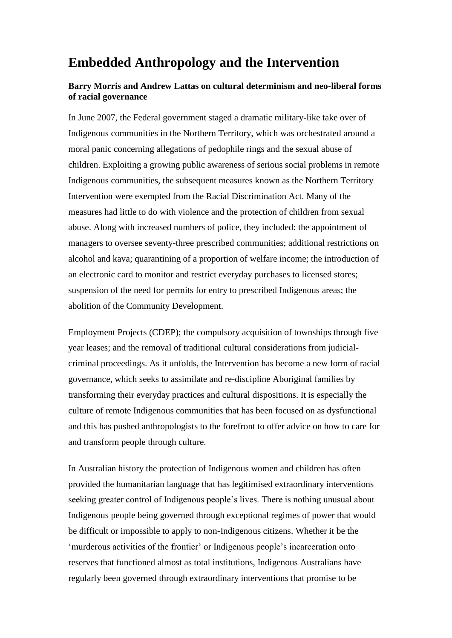## **Embedded Anthropology and the Intervention**

## **Barry Morris and Andrew Lattas on cultural determinism and neo-liberal forms of racial governance**

In June 2007, the Federal government staged a dramatic military-like take over of Indigenous communities in the Northern Territory, which was orchestrated around a moral panic concerning allegations of pedophile rings and the sexual abuse of children. Exploiting a growing public awareness of serious social problems in remote Indigenous communities, the subsequent measures known as the Northern Territory Intervention were exempted from the Racial Discrimination Act. Many of the measures had little to do with violence and the protection of children from sexual abuse. Along with increased numbers of police, they included: the appointment of managers to oversee seventy-three prescribed communities; additional restrictions on alcohol and kava; quarantining of a proportion of welfare income; the introduction of an electronic card to monitor and restrict everyday purchases to licensed stores; suspension of the need for permits for entry to prescribed Indigenous areas; the abolition of the Community Development.

Employment Projects (CDEP); the compulsory acquisition of townships through five year leases; and the removal of traditional cultural considerations from judicialcriminal proceedings. As it unfolds, the Intervention has become a new form of racial governance, which seeks to assimilate and re-discipline Aboriginal families by transforming their everyday practices and cultural dispositions. It is especially the culture of remote Indigenous communities that has been focused on as dysfunctional and this has pushed anthropologists to the forefront to offer advice on how to care for and transform people through culture.

In Australian history the protection of Indigenous women and children has often provided the humanitarian language that has legitimised extraordinary interventions seeking greater control of Indigenous people's lives. There is nothing unusual about Indigenous people being governed through exceptional regimes of power that would be difficult or impossible to apply to non-Indigenous citizens. Whether it be the ‗murderous activities of the frontier' or Indigenous people's incarceration onto reserves that functioned almost as total institutions, Indigenous Australians have regularly been governed through extraordinary interventions that promise to be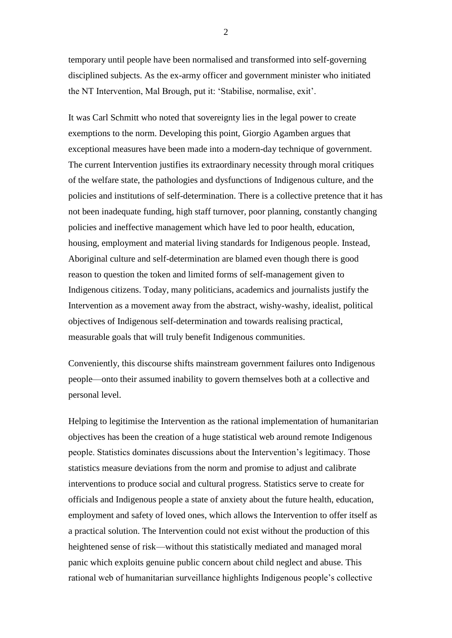temporary until people have been normalised and transformed into self-governing disciplined subjects. As the ex-army officer and government minister who initiated the NT Intervention, Mal Brough, put it: ‗Stabilise, normalise, exit'.

It was Carl Schmitt who noted that sovereignty lies in the legal power to create exemptions to the norm. Developing this point, Giorgio Agamben argues that exceptional measures have been made into a modern-day technique of government. The current Intervention justifies its extraordinary necessity through moral critiques of the welfare state, the pathologies and dysfunctions of Indigenous culture, and the policies and institutions of self-determination. There is a collective pretence that it has not been inadequate funding, high staff turnover, poor planning, constantly changing policies and ineffective management which have led to poor health, education, housing, employment and material living standards for Indigenous people. Instead, Aboriginal culture and self-determination are blamed even though there is good reason to question the token and limited forms of self-management given to Indigenous citizens. Today, many politicians, academics and journalists justify the Intervention as a movement away from the abstract, wishy-washy, idealist, political objectives of Indigenous self-determination and towards realising practical, measurable goals that will truly benefit Indigenous communities.

Conveniently, this discourse shifts mainstream government failures onto Indigenous people—onto their assumed inability to govern themselves both at a collective and personal level.

Helping to legitimise the Intervention as the rational implementation of humanitarian objectives has been the creation of a huge statistical web around remote Indigenous people. Statistics dominates discussions about the Intervention's legitimacy. Those statistics measure deviations from the norm and promise to adjust and calibrate interventions to produce social and cultural progress. Statistics serve to create for officials and Indigenous people a state of anxiety about the future health, education, employment and safety of loved ones, which allows the Intervention to offer itself as a practical solution. The Intervention could not exist without the production of this heightened sense of risk—without this statistically mediated and managed moral panic which exploits genuine public concern about child neglect and abuse. This rational web of humanitarian surveillance highlights Indigenous people's collective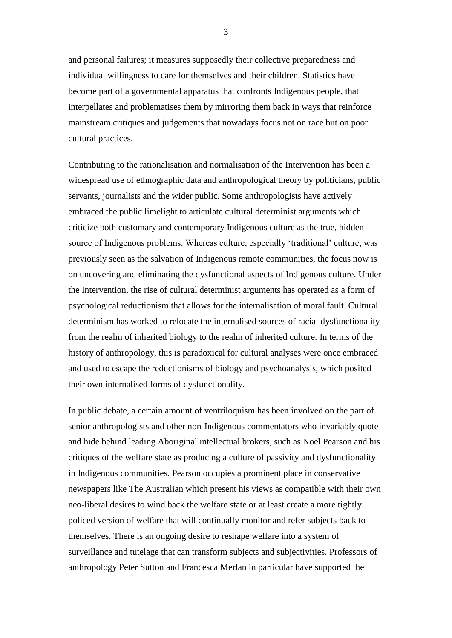and personal failures; it measures supposedly their collective preparedness and individual willingness to care for themselves and their children. Statistics have become part of a governmental apparatus that confronts Indigenous people, that interpellates and problematises them by mirroring them back in ways that reinforce mainstream critiques and judgements that nowadays focus not on race but on poor cultural practices.

Contributing to the rationalisation and normalisation of the Intervention has been a widespread use of ethnographic data and anthropological theory by politicians, public servants, journalists and the wider public. Some anthropologists have actively embraced the public limelight to articulate cultural determinist arguments which criticize both customary and contemporary Indigenous culture as the true, hidden source of Indigenous problems. Whereas culture, especially 'traditional' culture, was previously seen as the salvation of Indigenous remote communities, the focus now is on uncovering and eliminating the dysfunctional aspects of Indigenous culture. Under the Intervention, the rise of cultural determinist arguments has operated as a form of psychological reductionism that allows for the internalisation of moral fault. Cultural determinism has worked to relocate the internalised sources of racial dysfunctionality from the realm of inherited biology to the realm of inherited culture. In terms of the history of anthropology, this is paradoxical for cultural analyses were once embraced and used to escape the reductionisms of biology and psychoanalysis, which posited their own internalised forms of dysfunctionality.

In public debate, a certain amount of ventriloquism has been involved on the part of senior anthropologists and other non-Indigenous commentators who invariably quote and hide behind leading Aboriginal intellectual brokers, such as Noel Pearson and his critiques of the welfare state as producing a culture of passivity and dysfunctionality in Indigenous communities. Pearson occupies a prominent place in conservative newspapers like The Australian which present his views as compatible with their own neo-liberal desires to wind back the welfare state or at least create a more tightly policed version of welfare that will continually monitor and refer subjects back to themselves. There is an ongoing desire to reshape welfare into a system of surveillance and tutelage that can transform subjects and subjectivities. Professors of anthropology Peter Sutton and Francesca Merlan in particular have supported the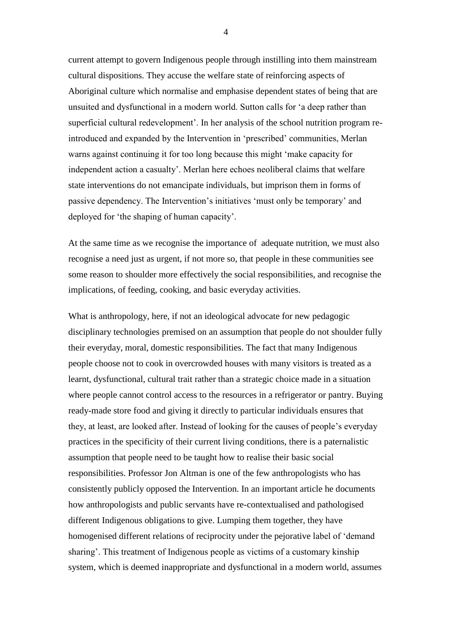current attempt to govern Indigenous people through instilling into them mainstream cultural dispositions. They accuse the welfare state of reinforcing aspects of Aboriginal culture which normalise and emphasise dependent states of being that are unsuited and dysfunctional in a modern world. Sutton calls for ‗a deep rather than superficial cultural redevelopment'. In her analysis of the school nutrition program reintroduced and expanded by the Intervention in 'prescribed' communities, Merlan warns against continuing it for too long because this might 'make capacity for independent action a casualty'. Merlan here echoes neoliberal claims that welfare state interventions do not emancipate individuals, but imprison them in forms of passive dependency. The Intervention's initiatives 'must only be temporary' and deployed for 'the shaping of human capacity'.

At the same time as we recognise the importance of adequate nutrition, we must also recognise a need just as urgent, if not more so, that people in these communities see some reason to shoulder more effectively the social responsibilities, and recognise the implications, of feeding, cooking, and basic everyday activities.

What is anthropology, here, if not an ideological advocate for new pedagogic disciplinary technologies premised on an assumption that people do not shoulder fully their everyday, moral, domestic responsibilities. The fact that many Indigenous people choose not to cook in overcrowded houses with many visitors is treated as a learnt, dysfunctional, cultural trait rather than a strategic choice made in a situation where people cannot control access to the resources in a refrigerator or pantry. Buying ready-made store food and giving it directly to particular individuals ensures that they, at least, are looked after. Instead of looking for the causes of people's everyday practices in the specificity of their current living conditions, there is a paternalistic assumption that people need to be taught how to realise their basic social responsibilities. Professor Jon Altman is one of the few anthropologists who has consistently publicly opposed the Intervention. In an important article he documents how anthropologists and public servants have re-contextualised and pathologised different Indigenous obligations to give. Lumping them together, they have homogenised different relations of reciprocity under the pejorative label of 'demand sharing'. This treatment of Indigenous people as victims of a customary kinship system, which is deemed inappropriate and dysfunctional in a modern world, assumes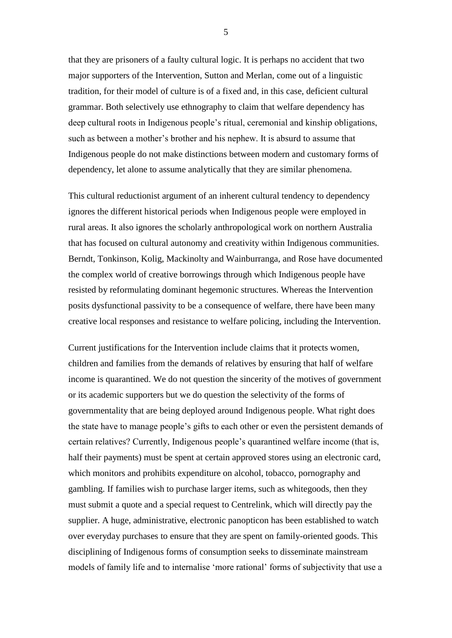that they are prisoners of a faulty cultural logic. It is perhaps no accident that two major supporters of the Intervention, Sutton and Merlan, come out of a linguistic tradition, for their model of culture is of a fixed and, in this case, deficient cultural grammar. Both selectively use ethnography to claim that welfare dependency has deep cultural roots in Indigenous people's ritual, ceremonial and kinship obligations, such as between a mother's brother and his nephew. It is absurd to assume that Indigenous people do not make distinctions between modern and customary forms of dependency, let alone to assume analytically that they are similar phenomena.

This cultural reductionist argument of an inherent cultural tendency to dependency ignores the different historical periods when Indigenous people were employed in rural areas. It also ignores the scholarly anthropological work on northern Australia that has focused on cultural autonomy and creativity within Indigenous communities. Berndt, Tonkinson, Kolig, Mackinolty and Wainburranga, and Rose have documented the complex world of creative borrowings through which Indigenous people have resisted by reformulating dominant hegemonic structures. Whereas the Intervention posits dysfunctional passivity to be a consequence of welfare, there have been many creative local responses and resistance to welfare policing, including the Intervention.

Current justifications for the Intervention include claims that it protects women, children and families from the demands of relatives by ensuring that half of welfare income is quarantined. We do not question the sincerity of the motives of government or its academic supporters but we do question the selectivity of the forms of governmentality that are being deployed around Indigenous people. What right does the state have to manage people's gifts to each other or even the persistent demands of certain relatives? Currently, Indigenous people's quarantined welfare income (that is, half their payments) must be spent at certain approved stores using an electronic card, which monitors and prohibits expenditure on alcohol, tobacco, pornography and gambling. If families wish to purchase larger items, such as whitegoods, then they must submit a quote and a special request to Centrelink, which will directly pay the supplier. A huge, administrative, electronic panopticon has been established to watch over everyday purchases to ensure that they are spent on family-oriented goods. This disciplining of Indigenous forms of consumption seeks to disseminate mainstream models of family life and to internalise 'more rational' forms of subjectivity that use a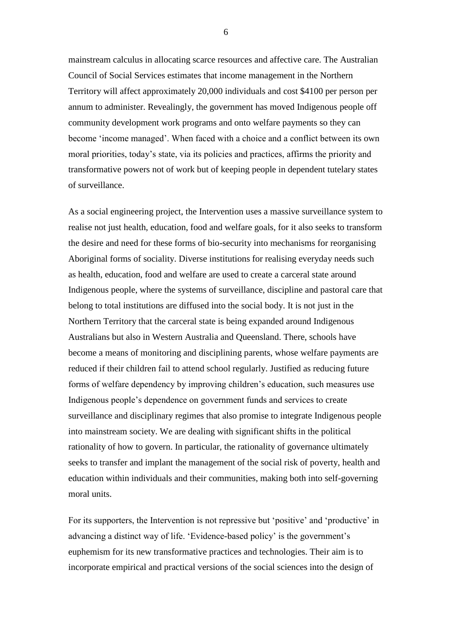mainstream calculus in allocating scarce resources and affective care. The Australian Council of Social Services estimates that income management in the Northern Territory will affect approximately 20,000 individuals and cost \$4100 per person per annum to administer. Revealingly, the government has moved Indigenous people off community development work programs and onto welfare payments so they can become 'income managed'. When faced with a choice and a conflict between its own moral priorities, today's state, via its policies and practices, affirms the priority and transformative powers not of work but of keeping people in dependent tutelary states of surveillance.

As a social engineering project, the Intervention uses a massive surveillance system to realise not just health, education, food and welfare goals, for it also seeks to transform the desire and need for these forms of bio-security into mechanisms for reorganising Aboriginal forms of sociality. Diverse institutions for realising everyday needs such as health, education, food and welfare are used to create a carceral state around Indigenous people, where the systems of surveillance, discipline and pastoral care that belong to total institutions are diffused into the social body. It is not just in the Northern Territory that the carceral state is being expanded around Indigenous Australians but also in Western Australia and Queensland. There, schools have become a means of monitoring and disciplining parents, whose welfare payments are reduced if their children fail to attend school regularly. Justified as reducing future forms of welfare dependency by improving children's education, such measures use Indigenous people's dependence on government funds and services to create surveillance and disciplinary regimes that also promise to integrate Indigenous people into mainstream society. We are dealing with significant shifts in the political rationality of how to govern. In particular, the rationality of governance ultimately seeks to transfer and implant the management of the social risk of poverty, health and education within individuals and their communities, making both into self-governing moral units.

For its supporters, the Intervention is not repressive but 'positive' and 'productive' in advancing a distinct way of life. 'Evidence-based policy' is the government's euphemism for its new transformative practices and technologies. Their aim is to incorporate empirical and practical versions of the social sciences into the design of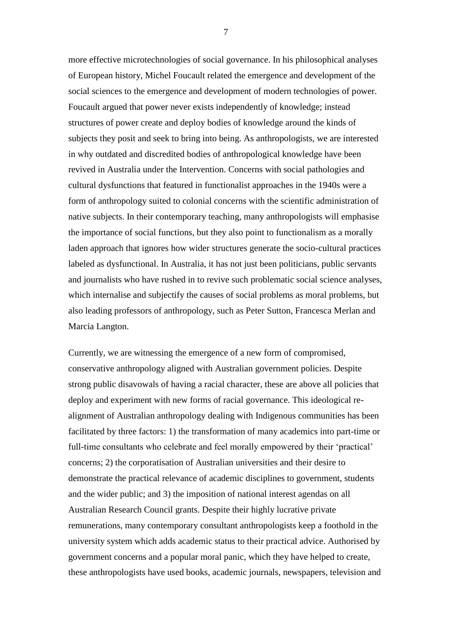more effective microtechnologies of social governance. In his philosophical analyses of European history, Michel Foucault related the emergence and development of the social sciences to the emergence and development of modern technologies of power. Foucault argued that power never exists independently of knowledge; instead structures of power create and deploy bodies of knowledge around the kinds of subjects they posit and seek to bring into being. As anthropologists, we are interested in why outdated and discredited bodies of anthropological knowledge have been revived in Australia under the Intervention. Concerns with social pathologies and cultural dysfunctions that featured in functionalist approaches in the 1940s were a form of anthropology suited to colonial concerns with the scientific administration of native subjects. In their contemporary teaching, many anthropologists will emphasise the importance of social functions, but they also point to functionalism as a morally laden approach that ignores how wider structures generate the socio-cultural practices labeled as dysfunctional. In Australia, it has not just been politicians, public servants and journalists who have rushed in to revive such problematic social science analyses, which internalise and subjectify the causes of social problems as moral problems, but also leading professors of anthropology, such as Peter Sutton, Francesca Merlan and Marcia Langton.

Currently, we are witnessing the emergence of a new form of compromised, conservative anthropology aligned with Australian government policies. Despite strong public disavowals of having a racial character, these are above all policies that deploy and experiment with new forms of racial governance. This ideological realignment of Australian anthropology dealing with Indigenous communities has been facilitated by three factors: 1) the transformation of many academics into part-time or full-time consultants who celebrate and feel morally empowered by their 'practical' concerns; 2) the corporatisation of Australian universities and their desire to demonstrate the practical relevance of academic disciplines to government, students and the wider public; and 3) the imposition of national interest agendas on all Australian Research Council grants. Despite their highly lucrative private remunerations, many contemporary consultant anthropologists keep a foothold in the university system which adds academic status to their practical advice. Authorised by government concerns and a popular moral panic, which they have helped to create, these anthropologists have used books, academic journals, newspapers, television and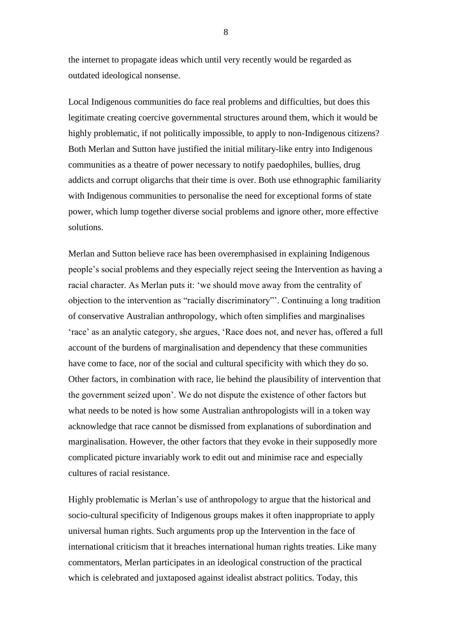the internet to propagate ideas which until very recently would be regarded as outdated ideological nonsense.

Local Indigenous communities do face real problems and difficulties, but does this legitimate creating coercive governmental structures around them, which it would be highly problematic, if not politically impossible, to apply to non-Indigenous citizens? Both Merlan and Sutton have justified the initial military-like entry into Indigenous communities as a theatre of power necessary to notify paedophiles, bullies, drug addicts and corrupt oligarchs that their time is over. Both use ethnographic familiarity with Indigenous communities to personalise the need for exceptional forms of state power, which lump together diverse social problems and ignore other, more effective solutions.

Merlan and Sutton believe race has been overemphasised in explaining Indigenous people's social problems and they especially reject seeing the Intervention as having a racial character. As Merlan puts it: 'we should move away from the centrality of objection to the intervention as "racially discriminatory". Continuing a long tradition of conservative Australian anthropology, which often simplifies and marginalises ‗race' as an analytic category, she argues, ‗Race does not, and never has, offered a full account of the burdens of marginalisation and dependency that these communities have come to face, nor of the social and cultural specificity with which they do so. Other factors, in combination with race, lie behind the plausibility of intervention that the government seized upon'. We do not dispute the existence of other factors but what needs to be noted is how some Australian anthropologists will in a token way acknowledge that race cannot be dismissed from explanations of subordination and marginalisation. However, the other factors that they evoke in their supposedly more complicated picture invariably work to edit out and minimise race and especially cultures of racial resistance.

Highly problematic is Merlan's use of anthropology to argue that the historical and socio-cultural specificity of Indigenous groups makes it often inappropriate to apply universal human rights. Such arguments prop up the Intervention in the face of international criticism that it breaches international human rights treaties. Like many commentators, Merlan participates in an ideological construction of the practical which is celebrated and juxtaposed against idealist abstract politics. Today, this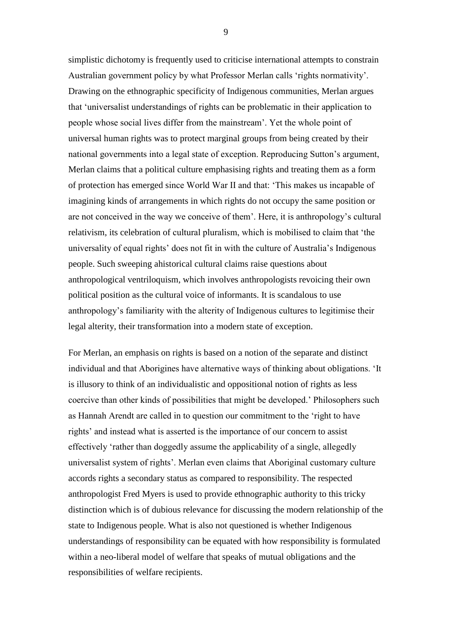simplistic dichotomy is frequently used to criticise international attempts to constrain Australian government policy by what Professor Merlan calls 'rights normativity'. Drawing on the ethnographic specificity of Indigenous communities, Merlan argues that ‗universalist understandings of rights can be problematic in their application to people whose social lives differ from the mainstream'. Yet the whole point of universal human rights was to protect marginal groups from being created by their national governments into a legal state of exception. Reproducing Sutton's argument, Merlan claims that a political culture emphasising rights and treating them as a form of protection has emerged since World War II and that: ‗This makes us incapable of imagining kinds of arrangements in which rights do not occupy the same position or are not conceived in the way we conceive of them'. Here, it is anthropology's cultural relativism, its celebration of cultural pluralism, which is mobilised to claim that 'the universality of equal rights' does not fit in with the culture of Australia's Indigenous people. Such sweeping ahistorical cultural claims raise questions about anthropological ventriloquism, which involves anthropologists revoicing their own political position as the cultural voice of informants. It is scandalous to use anthropology's familiarity with the alterity of Indigenous cultures to legitimise their legal alterity, their transformation into a modern state of exception.

For Merlan, an emphasis on rights is based on a notion of the separate and distinct individual and that Aborigines have alternative ways of thinking about obligations. 'It is illusory to think of an individualistic and oppositional notion of rights as less coercive than other kinds of possibilities that might be developed.' Philosophers such as Hannah Arendt are called in to question our commitment to the 'right to have rights' and instead what is asserted is the importance of our concern to assist effectively 'rather than doggedly assume the applicability of a single, allegedly universalist system of rights'. Merlan even claims that Aboriginal customary culture accords rights a secondary status as compared to responsibility. The respected anthropologist Fred Myers is used to provide ethnographic authority to this tricky distinction which is of dubious relevance for discussing the modern relationship of the state to Indigenous people. What is also not questioned is whether Indigenous understandings of responsibility can be equated with how responsibility is formulated within a neo-liberal model of welfare that speaks of mutual obligations and the responsibilities of welfare recipients.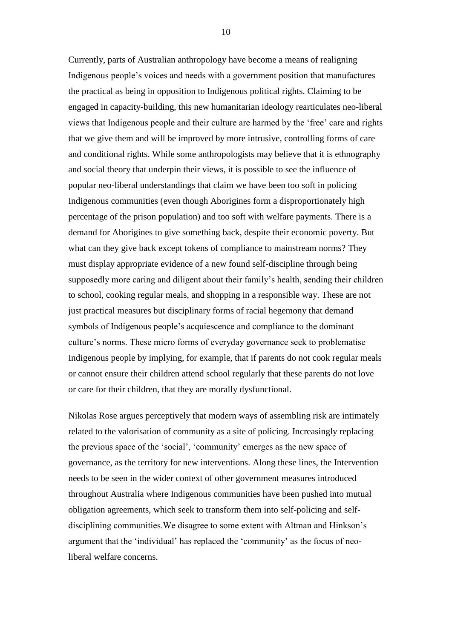Currently, parts of Australian anthropology have become a means of realigning Indigenous people's voices and needs with a government position that manufactures the practical as being in opposition to Indigenous political rights. Claiming to be engaged in capacity-building, this new humanitarian ideology rearticulates neo-liberal views that Indigenous people and their culture are harmed by the 'free' care and rights that we give them and will be improved by more intrusive, controlling forms of care and conditional rights. While some anthropologists may believe that it is ethnography and social theory that underpin their views, it is possible to see the influence of popular neo-liberal understandings that claim we have been too soft in policing Indigenous communities (even though Aborigines form a disproportionately high percentage of the prison population) and too soft with welfare payments. There is a demand for Aborigines to give something back, despite their economic poverty. But what can they give back except tokens of compliance to mainstream norms? They must display appropriate evidence of a new found self-discipline through being supposedly more caring and diligent about their family's health, sending their children to school, cooking regular meals, and shopping in a responsible way. These are not just practical measures but disciplinary forms of racial hegemony that demand symbols of Indigenous people's acquiescence and compliance to the dominant culture's norms. These micro forms of everyday governance seek to problematise Indigenous people by implying, for example, that if parents do not cook regular meals or cannot ensure their children attend school regularly that these parents do not love or care for their children, that they are morally dysfunctional.

Nikolas Rose argues perceptively that modern ways of assembling risk are intimately related to the valorisation of community as a site of policing. Increasingly replacing the previous space of the 'social', 'community' emerges as the new space of governance, as the territory for new interventions. Along these lines, the Intervention needs to be seen in the wider context of other government measures introduced throughout Australia where Indigenous communities have been pushed into mutual obligation agreements, which seek to transform them into self-policing and selfdisciplining communities.We disagree to some extent with Altman and Hinkson's argument that the 'individual' has replaced the 'community' as the focus of neoliberal welfare concerns.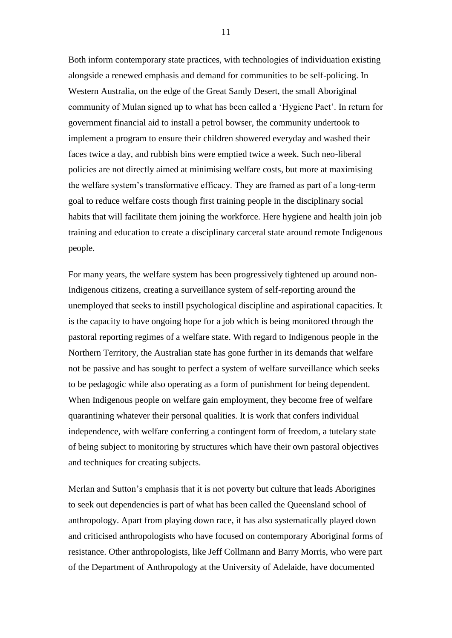Both inform contemporary state practices, with technologies of individuation existing alongside a renewed emphasis and demand for communities to be self-policing. In Western Australia, on the edge of the Great Sandy Desert, the small Aboriginal community of Mulan signed up to what has been called a 'Hygiene Pact'. In return for government financial aid to install a petrol bowser, the community undertook to implement a program to ensure their children showered everyday and washed their faces twice a day, and rubbish bins were emptied twice a week. Such neo-liberal policies are not directly aimed at minimising welfare costs, but more at maximising the welfare system's transformative efficacy. They are framed as part of a long-term goal to reduce welfare costs though first training people in the disciplinary social habits that will facilitate them joining the workforce. Here hygiene and health join job training and education to create a disciplinary carceral state around remote Indigenous people.

For many years, the welfare system has been progressively tightened up around non-Indigenous citizens, creating a surveillance system of self-reporting around the unemployed that seeks to instill psychological discipline and aspirational capacities. It is the capacity to have ongoing hope for a job which is being monitored through the pastoral reporting regimes of a welfare state. With regard to Indigenous people in the Northern Territory, the Australian state has gone further in its demands that welfare not be passive and has sought to perfect a system of welfare surveillance which seeks to be pedagogic while also operating as a form of punishment for being dependent. When Indigenous people on welfare gain employment, they become free of welfare quarantining whatever their personal qualities. It is work that confers individual independence, with welfare conferring a contingent form of freedom, a tutelary state of being subject to monitoring by structures which have their own pastoral objectives and techniques for creating subjects.

Merlan and Sutton's emphasis that it is not poverty but culture that leads Aborigines to seek out dependencies is part of what has been called the Queensland school of anthropology. Apart from playing down race, it has also systematically played down and criticised anthropologists who have focused on contemporary Aboriginal forms of resistance. Other anthropologists, like Jeff Collmann and Barry Morris, who were part of the Department of Anthropology at the University of Adelaide, have documented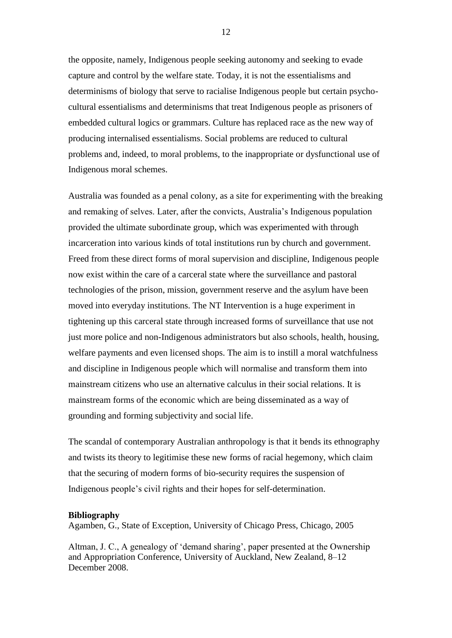the opposite, namely, Indigenous people seeking autonomy and seeking to evade capture and control by the welfare state. Today, it is not the essentialisms and determinisms of biology that serve to racialise Indigenous people but certain psychocultural essentialisms and determinisms that treat Indigenous people as prisoners of embedded cultural logics or grammars. Culture has replaced race as the new way of producing internalised essentialisms. Social problems are reduced to cultural problems and, indeed, to moral problems, to the inappropriate or dysfunctional use of Indigenous moral schemes.

Australia was founded as a penal colony, as a site for experimenting with the breaking and remaking of selves. Later, after the convicts, Australia's Indigenous population provided the ultimate subordinate group, which was experimented with through incarceration into various kinds of total institutions run by church and government. Freed from these direct forms of moral supervision and discipline, Indigenous people now exist within the care of a carceral state where the surveillance and pastoral technologies of the prison, mission, government reserve and the asylum have been moved into everyday institutions. The NT Intervention is a huge experiment in tightening up this carceral state through increased forms of surveillance that use not just more police and non-Indigenous administrators but also schools, health, housing, welfare payments and even licensed shops. The aim is to instill a moral watchfulness and discipline in Indigenous people which will normalise and transform them into mainstream citizens who use an alternative calculus in their social relations. It is mainstream forms of the economic which are being disseminated as a way of grounding and forming subjectivity and social life.

The scandal of contemporary Australian anthropology is that it bends its ethnography and twists its theory to legitimise these new forms of racial hegemony, which claim that the securing of modern forms of bio-security requires the suspension of Indigenous people's civil rights and their hopes for self-determination.

## **Bibliography**

Agamben, G., State of Exception, University of Chicago Press, Chicago, 2005

Altman, J. C., A genealogy of 'demand sharing', paper presented at the Ownership and Appropriation Conference, University of Auckland, New Zealand, 8–12 December 2008.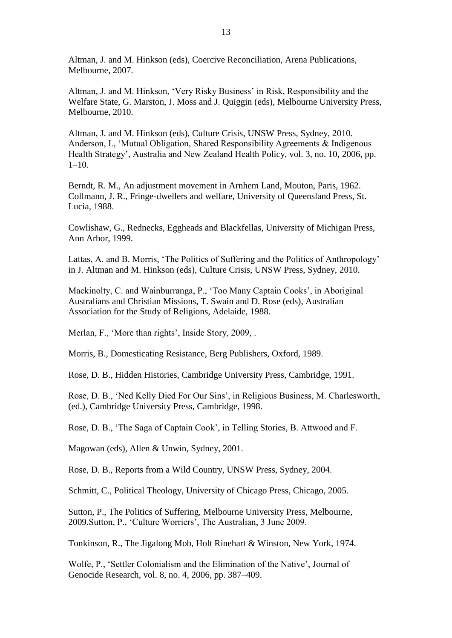Altman, J. and M. Hinkson (eds), Coercive Reconciliation, Arena Publications, Melbourne, 2007.

Altman, J. and M. Hinkson, ‗Very Risky Business' in Risk, Responsibility and the Welfare State, G. Marston, J. Moss and J. Quiggin (eds), Melbourne University Press, Melbourne, 2010.

Altman, J. and M. Hinkson (eds), Culture Crisis, UNSW Press, Sydney, 2010. Anderson, I., 'Mutual Obligation, Shared Responsibility Agreements & Indigenous Health Strategy', Australia and New Zealand Health Policy, vol. 3, no. 10, 2006, pp.  $1-10.$ 

Berndt, R. M., An adjustment movement in Arnhem Land, Mouton, Paris, 1962. Collmann, J. R., Fringe-dwellers and welfare, University of Queensland Press, St. Lucia, 1988.

Cowlishaw, G., Rednecks, Eggheads and Blackfellas, University of Michigan Press, Ann Arbor, 1999.

Lattas, A. and B. Morris, 'The Politics of Suffering and the Politics of Anthropology' in J. Altman and M. Hinkson (eds), Culture Crisis, UNSW Press, Sydney, 2010.

Mackinolty, C. and Wainburranga, P., ‗Too Many Captain Cooks', in Aboriginal Australians and Christian Missions, T. Swain and D. Rose (eds), Australian Association for the Study of Religions, Adelaide, 1988.

Merlan, F., 'More than rights', Inside Story, 2009, .

Morris, B., Domesticating Resistance, Berg Publishers, Oxford, 1989.

Rose, D. B., Hidden Histories, Cambridge University Press, Cambridge, 1991.

Rose, D. B., 'Ned Kelly Died For Our Sins', in Religious Business, M. Charlesworth, (ed.), Cambridge University Press, Cambridge, 1998.

Rose, D. B., ‗The Saga of Captain Cook', in Telling Stories, B. Attwood and F.

Magowan (eds), Allen & Unwin, Sydney, 2001.

Rose, D. B., Reports from a Wild Country, UNSW Press, Sydney, 2004.

Schmitt, C., Political Theology, University of Chicago Press, Chicago, 2005.

Sutton, P., The Politics of Suffering, Melbourne University Press, Melbourne, 2009.Sutton, P., ‗Culture Worriers', The Australian, 3 June 2009.

Tonkinson, R., The Jigalong Mob, Holt Rinehart & Winston, New York, 1974.

Wolfe, P., 'Settler Colonialism and the Elimination of the Native', Journal of Genocide Research, vol. 8, no. 4, 2006, pp. 387–409.